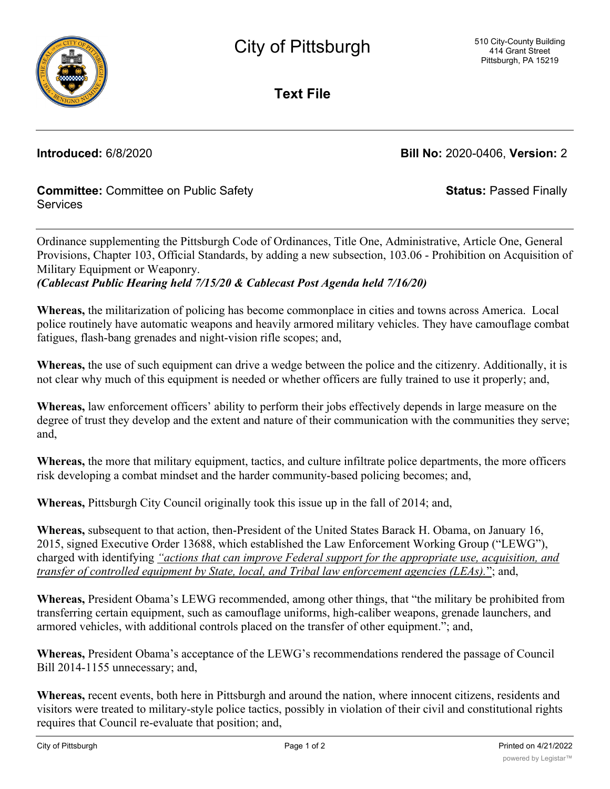

**Text File**

**Introduced:** 6/8/2020 **Bill No:** 2020-0406, **Version:** 2

**Committee:** Committee on Public Safety **Services** 

**Status:** Passed Finally

Ordinance supplementing the Pittsburgh Code of Ordinances, Title One, Administrative, Article One, General Provisions, Chapter 103, Official Standards, by adding a new subsection, 103.06 - Prohibition on Acquisition of Military Equipment or Weaponry.

*(Cablecast Public Hearing held 7/15/20 & Cablecast Post Agenda held 7/16/20)*

**Whereas,** the militarization of policing has become commonplace in cities and towns across America. Local police routinely have automatic weapons and heavily armored military vehicles. They have camouflage combat fatigues, flash-bang grenades and night-vision rifle scopes; and,

**Whereas,** the use of such equipment can drive a wedge between the police and the citizenry. Additionally, it is not clear why much of this equipment is needed or whether officers are fully trained to use it properly; and,

**Whereas,** law enforcement officers' ability to perform their jobs effectively depends in large measure on the degree of trust they develop and the extent and nature of their communication with the communities they serve; and,

**Whereas,** the more that military equipment, tactics, and culture infiltrate police departments, the more officers risk developing a combat mindset and the harder community-based policing becomes; and,

**Whereas,** Pittsburgh City Council originally took this issue up in the fall of 2014; and,

**Whereas,** subsequent to that action, then-President of the United States Barack H. Obama, on January 16, 2015, signed Executive Order 13688, which established the Law Enforcement Working Group ("LEWG"), charged with identifying *"actions that can improve Federal support for the appropriate use, acquisition, and transfer of controlled equipment by State, local, and Tribal law enforcement agencies (LEAs).*"; and,

**Whereas,** President Obama's LEWG recommended, among other things, that "the military be prohibited from transferring certain equipment, such as camouflage uniforms, high-caliber weapons, grenade launchers, and armored vehicles, with additional controls placed on the transfer of other equipment."; and,

**Whereas,** President Obama's acceptance of the LEWG's recommendations rendered the passage of Council Bill 2014-1155 unnecessary; and,

**Whereas,** recent events, both here in Pittsburgh and around the nation, where innocent citizens, residents and visitors were treated to military-style police tactics, possibly in violation of their civil and constitutional rights requires that Council re-evaluate that position; and,